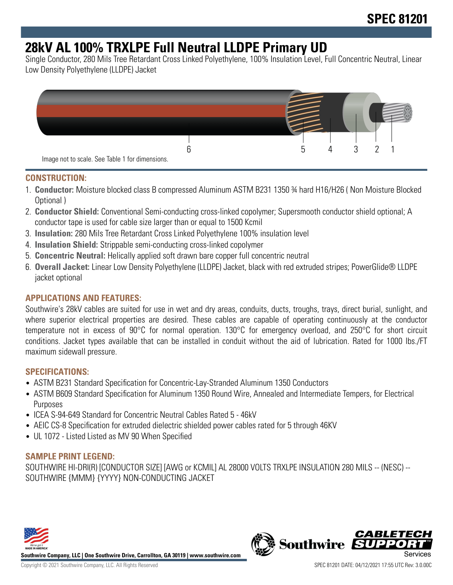# **28kV AL 100% TRXLPE Full Neutral LLDPE Primary UD**

Single Conductor, 280 Mils Tree Retardant Cross Linked Polyethylene, 100% Insulation Level, Full Concentric Neutral, Linear Low Density Polyethylene (LLDPE) Jacket



#### **CONSTRUCTION:**

- 1. **Conductor:** Moisture blocked class B compressed Aluminum ASTM B231 1350 ¾ hard H16/H26 ( Non Moisture Blocked Optional )
- 2. **Conductor Shield:** Conventional Semi-conducting cross-linked copolymer; Supersmooth conductor shield optional; A conductor tape is used for cable size larger than or equal to 1500 Kcmil
- 3. **Insulation:** 280 Mils Tree Retardant Cross Linked Polyethylene 100% insulation level
- 4. **Insulation Shield:** Strippable semi-conducting cross-linked copolymer
- 5. **Concentric Neutral:** Helically applied soft drawn bare copper full concentric neutral
- 6. **Overall Jacket:** Linear Low Density Polyethylene (LLDPE) Jacket, black with red extruded stripes; PowerGlide® LLDPE jacket optional

#### **APPLICATIONS AND FEATURES:**

Southwire's 28kV cables are suited for use in wet and dry areas, conduits, ducts, troughs, trays, direct burial, sunlight, and where superior electrical properties are desired. These cables are capable of operating continuously at the conductor temperature not in excess of 90°C for normal operation. 130°C for emergency overload, and 250°C for short circuit conditions. Jacket types available that can be installed in conduit without the aid of lubrication. Rated for 1000 lbs./FT maximum sidewall pressure.

#### **SPECIFICATIONS:**

- ASTM B231 Standard Specification for Concentric-Lay-Stranded Aluminum 1350 Conductors
- ASTM B609 Standard Specification for Aluminum 1350 Round Wire, Annealed and Intermediate Tempers, for Electrical Purposes
- ICEA S-94-649 Standard for Concentric Neutral Cables Rated 5 46kV
- AEIC CS-8 Specification for extruded dielectric shielded power cables rated for 5 through 46KV
- UL 1072 Listed Listed as MV 90 When Specified

#### **SAMPLE PRINT LEGEND:**

SOUTHWIRE HI-DRI(R) [CONDUCTOR SIZE] [AWG or KCMIL] AL 28000 VOLTS TRXLPE INSULATION 280 MILS -- (NESC) -- SOUTHWIRE {MMM} {YYYY} NON-CONDUCTING JACKET



**Southwire Company, LLC | One Southwire Drive, Carrollton, GA 30119 | www.southwire.com**

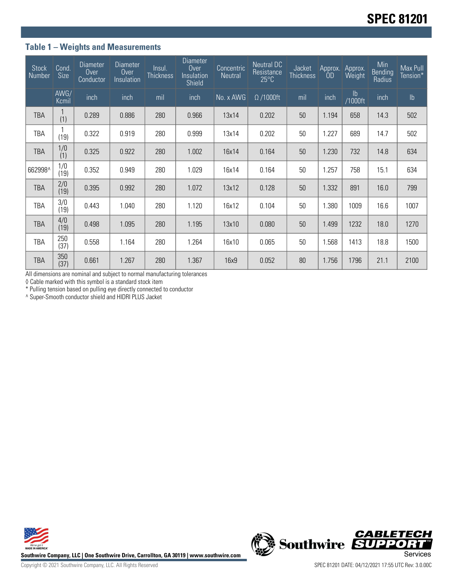#### **Table 1 – Weights and Measurements**

| <b>Stock</b><br>Number | Cond.<br><b>Size</b> | <b>Diameter</b><br>Over<br>Conductor | <b>Diameter</b><br>Over<br>Insulation | Insul.<br><b>Thickness</b> | <b>Diameter</b><br>Over<br>Insulation<br>Shield | Concentric<br>Neutral | <b>Neutral DC</b><br>Resistance<br>$25^{\circ}$ C | Jacket<br><b>Thickness</b> | Approx.<br>OD) | Approx.<br>Weight | Min<br>Bending<br>Radius | Max Pull<br>Tension* |
|------------------------|----------------------|--------------------------------------|---------------------------------------|----------------------------|-------------------------------------------------|-----------------------|---------------------------------------------------|----------------------------|----------------|-------------------|--------------------------|----------------------|
|                        | AWG/<br>Kcmil        | inch                                 | inch                                  | mil                        | inch                                            | No. x AWG             | $\Omega$ /1000ft                                  | mil                        | inch           | lb<br>/1000ft     | inch                     | $\mathsf{lb}$        |
| <b>TBA</b>             | (1)                  | 0.289                                | 0.886                                 | 280                        | 0.966                                           | 13x14                 | 0.202                                             | 50                         | 1.194          | 658               | 14.3                     | 502                  |
| TBA                    | (19)                 | 0.322                                | 0.919                                 | 280                        | 0.999                                           | 13x14                 | 0.202                                             | 50                         | 1.227          | 689               | 14.7                     | 502                  |
| <b>TBA</b>             | 1/0<br>(1)           | 0.325                                | 0.922                                 | 280                        | 1.002                                           | 16x14                 | 0.164                                             | 50                         | 1.230          | 732               | 14.8                     | 634                  |
| 662998^                | 1/0<br>(19)          | 0.352                                | 0.949                                 | 280                        | 1.029                                           | 16x14                 | 0.164                                             | 50                         | 1.257          | 758               | 15.1                     | 634                  |
| <b>TBA</b>             | 2/0<br>(19)          | 0.395                                | 0.992                                 | 280                        | 1.072                                           | 13x12                 | 0.128                                             | 50                         | 1.332          | 891               | 16.0                     | 799                  |
| TBA                    | 3/0<br>(19)          | 0.443                                | 1.040                                 | 280                        | 1.120                                           | 16x12                 | 0.104                                             | 50                         | 1.380          | 1009              | 16.6                     | 1007                 |
| TBA                    | 4/0<br>(19)          | 0.498                                | 1.095                                 | 280                        | 1.195                                           | 13x10                 | 0.080                                             | 50                         | 1.499          | 1232              | 18.0                     | 1270                 |
| TBA                    | 250<br>(37)          | 0.558                                | 1.164                                 | 280                        | 1.264                                           | 16x10                 | 0.065                                             | 50                         | 1.568          | 1413              | 18.8                     | 1500                 |
| TBA                    | 350<br>(37)          | 0.661                                | 1.267                                 | 280                        | 1.367                                           | 16x9                  | 0.052                                             | 80                         | 1.756          | 1796              | 21.1                     | 2100                 |

All dimensions are nominal and subject to normal manufacturing tolerances

◊ Cable marked with this symbol is a standard stock item

\* Pulling tension based on pulling eye directly connected to conductor

^ Super-Smooth conductor shield and HIDRI PLUS Jacket



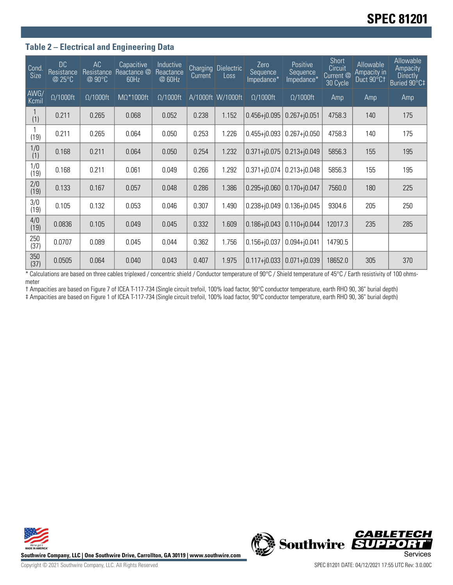#### **Table 2 – Electrical and Engineering Data**

| Cond<br><b>Size</b> | <b>DC</b><br>Resistance<br>@ 25°C | AC<br>Resistance<br>@ 90°C | Capacitive<br>Reactance @<br>60Hz | <b>Inductive</b><br>Reactance<br>@ 60Hz | <b>Charging</b><br>Current | <b>Dielectric</b><br>Loss | Zero<br>Sequence<br>Impedance* | Positive<br>Sequence<br>Impedance* | Short<br>Circuit<br>Current <sup>@</sup><br>30 Cycle | Allowable<br>Ampacity in<br>Duct 90°Ct | Allowable<br>Ampacity<br><b>Directly</b><br>Buried 90°C‡ |
|---------------------|-----------------------------------|----------------------------|-----------------------------------|-----------------------------------------|----------------------------|---------------------------|--------------------------------|------------------------------------|------------------------------------------------------|----------------------------------------|----------------------------------------------------------|
| AWG/<br>Kcmil       | $\Omega/1000$ ft                  | $\Omega/1000$ ft           | $M\Omega^*1000$ ft                | $\Omega/1000$ ft                        |                            | A/1000ft W/1000ft         | $\Omega/1000$ ft               | $\Omega/1000$ ft                   | Amp                                                  | Amp                                    | Amp                                                      |
| (1)                 | 0.211                             | 0.265                      | 0.068                             | 0.052                                   | 0.238                      | 1.152                     | $0.456 + 0.095$                | $0.267 + j0.051$                   | 4758.3                                               | 140                                    | 175                                                      |
| (19)                | 0.211                             | 0.265                      | 0.064                             | 0.050                                   | 0.253                      | 1.226                     | $0.455 + 0.093$                | $0.267 + j0.050$                   | 4758.3                                               | 140                                    | 175                                                      |
| 1/0<br>(1)          | 0.168                             | 0.211                      | 0.064                             | 0.050                                   | 0.254                      | 1.232                     | $0.371 + 0.075$                | $0.213 + j0.049$                   | 5856.3                                               | 155                                    | 195                                                      |
| 1/0<br>(19)         | 0.168                             | 0.211                      | 0.061                             | 0.049                                   | 0.266                      | 1.292                     | $0.371 + j0.074$               | $0.213 + j0.048$                   | 5856.3                                               | 155                                    | 195                                                      |
| 2/0<br>(19)         | 0.133                             | 0.167                      | 0.057                             | 0.048                                   | 0.286                      | 1.386                     | $0.295 + 0.060$                | $0.170 + j0.047$                   | 7560.0                                               | 180                                    | 225                                                      |
| 3/0<br>(19)         | 0.105                             | 0.132                      | 0.053                             | 0.046                                   | 0.307                      | 1.490                     | $0.238 + j0.049$               | $0.136 + j0.045$                   | 9304.6                                               | 205                                    | 250                                                      |
| 4/0<br>(19)         | 0.0836                            | 0.105                      | 0.049                             | 0.045                                   | 0.332                      | 1.609                     | $0.186 + 0.043$                | $0.110 + j0.044$                   | 12017.3                                              | 235                                    | 285                                                      |
| 250<br>(37)         | 0.0707                            | 0.089                      | 0.045                             | 0.044                                   | 0.362                      | 1.756                     | $0.156 + j0.037$               | $0.094 + j0.041$                   | 14790.5                                              |                                        |                                                          |
| 350<br>(37)         | 0.0505                            | 0.064                      | 0.040                             | 0.043                                   | 0.407                      | 1.975                     | $0.117 + 0.033$                | $0.071 + j0.039$                   | 18652.0                                              | 305                                    | 370                                                      |

\* Calculations are based on three cables triplexed / concentric shield / Conductor temperature of 90°C / Shield temperature of 45°C / Earth resistivity of 100 ohmsmeter

† Ampacities are based on Figure 7 of ICEA T-117-734 (Single circuit trefoil, 100% load factor, 90°C conductor temperature, earth RHO 90, 36" burial depth)

‡ Ampacities are based on Figure 1 of ICEA T-117-734 (Single circuit trefoil, 100% load factor, 90°C conductor temperature, earth RHO 90, 36" burial depth)





**CABLETECH**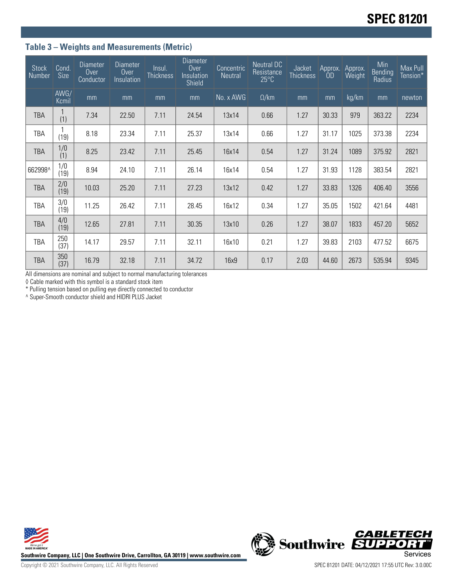## **Table 3 – Weights and Measurements (Metric)**

| <b>Stock</b><br><b>Number</b> | Cond.<br>Size | <b>Diameter</b><br>Over<br>Conductor | <b>Diameter</b><br>Over<br>Insulation | Insul.<br><b>Thickness</b> | <b>Diameter</b><br>Over<br>Insulation<br>Shield | Concentric<br>Neutral | Neutral DC<br>Resistance<br>$25^{\circ}$ C | Jacket<br><b>Thickness</b> | Approx.<br>0 <sub>D</sub> | Approx.<br>Weight | Min<br>Bending<br>Radius | Max Pull<br>Tension* |
|-------------------------------|---------------|--------------------------------------|---------------------------------------|----------------------------|-------------------------------------------------|-----------------------|--------------------------------------------|----------------------------|---------------------------|-------------------|--------------------------|----------------------|
|                               | AWG/<br>Kcmil | mm                                   | mm                                    | mm                         | mm                                              | No. x AWG             | $\Omega$ /km                               | mm                         | mm                        | kg/km             | mm                       | newton               |
| <b>TBA</b>                    | (1)           | 7.34                                 | 22.50                                 | 7.11                       | 24.54                                           | 13x14                 | 0.66                                       | 1.27                       | 30.33                     | 979               | 363.22                   | 2234                 |
| TBA                           | (19)          | 8.18                                 | 23.34                                 | 7.11                       | 25.37                                           | 13x14                 | 0.66                                       | 1.27                       | 31.17                     | 1025              | 373.38                   | 2234                 |
| TBA                           | 1/0<br>(1)    | 8.25                                 | 23.42                                 | 7.11                       | 25.45                                           | 16x14                 | 0.54                                       | 1.27                       | 31.24                     | 1089              | 375.92                   | 2821                 |
| 662998^                       | 1/0<br>(19)   | 8.94                                 | 24.10                                 | 7.11                       | 26.14                                           | 16x14                 | 0.54                                       | 1.27                       | 31.93                     | 1128              | 383.54                   | 2821                 |
| <b>TBA</b>                    | 2/0<br>(19)   | 10.03                                | 25.20                                 | 7.11                       | 27.23                                           | 13x12                 | 0.42                                       | 1.27                       | 33.83                     | 1326              | 406.40                   | 3556                 |
| <b>TBA</b>                    | 3/0<br>(19)   | 11.25                                | 26.42                                 | 7.11                       | 28.45                                           | 16x12                 | 0.34                                       | 1.27                       | 35.05                     | 1502              | 421.64                   | 4481                 |
| TBA                           | 4/0<br>(19)   | 12.65                                | 27.81                                 | 7.11                       | 30.35                                           | 13x10                 | 0.26                                       | 1.27                       | 38.07                     | 1833              | 457.20                   | 5652                 |
| TBA                           | 250<br>(37)   | 14.17                                | 29.57                                 | 7.11                       | 32.11                                           | 16x10                 | 0.21                                       | 1.27                       | 39.83                     | 2103              | 477.52                   | 6675                 |
| TBA                           | 350<br>(37)   | 16.79                                | 32.18                                 | 7.11                       | 34.72                                           | 16x9                  | 0.17                                       | 2.03                       | 44.60                     | 2673              | 535.94                   | 9345                 |

All dimensions are nominal and subject to normal manufacturing tolerances

◊ Cable marked with this symbol is a standard stock item

\* Pulling tension based on pulling eye directly connected to conductor

^ Super-Smooth conductor shield and HIDRI PLUS Jacket